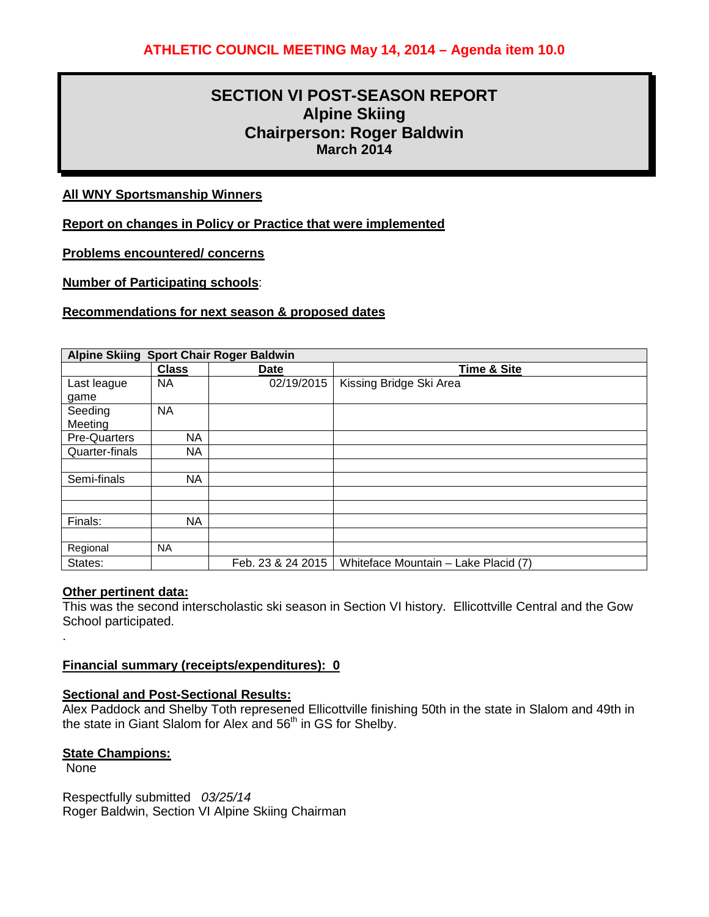# **SECTION VI POST-SEASON REPORT Alpine Skiing Chairperson: Roger Baldwin March 2014**

### **All WNY Sportsmanship Winners**

**Report on changes in Policy or Practice that were implemented**

**Problems encountered/ concerns**

**Number of Participating schools**:

### **Recommendations for next season & proposed dates**

| Alpine Skiing Sport Chair Roger Baldwin |              |                   |                                      |  |  |
|-----------------------------------------|--------------|-------------------|--------------------------------------|--|--|
|                                         | <b>Class</b> | Date              | <b>Time &amp; Site</b>               |  |  |
| Last league                             | <b>NA</b>    | 02/19/2015        | Kissing Bridge Ski Area              |  |  |
| game                                    |              |                   |                                      |  |  |
| Seeding                                 | <b>NA</b>    |                   |                                      |  |  |
| Meeting                                 |              |                   |                                      |  |  |
| <b>Pre-Quarters</b>                     | ΝA           |                   |                                      |  |  |
| Quarter-finals                          | NA           |                   |                                      |  |  |
|                                         |              |                   |                                      |  |  |
| Semi-finals                             | ΝA           |                   |                                      |  |  |
|                                         |              |                   |                                      |  |  |
|                                         |              |                   |                                      |  |  |
| Finals:                                 | NA           |                   |                                      |  |  |
|                                         |              |                   |                                      |  |  |
| Regional                                | <b>NA</b>    |                   |                                      |  |  |
| States:                                 |              | Feb. 23 & 24 2015 | Whiteface Mountain - Lake Placid (7) |  |  |

### **Other pertinent data:**

This was the second interscholastic ski season in Section VI history. Ellicottville Central and the Gow School participated.

### **Financial summary (receipts/expenditures): 0**

### **Sectional and Post-Sectional Results:**

Alex Paddock and Shelby Toth represened Ellicottville finishing 50th in the state in Slalom and 49th in the state in Giant Slalom for Alex and 56<sup>th</sup> in GS for Shelby.

### **State Champions:**

None

.

Respectfully submitted *03/25/14* Roger Baldwin, Section VI Alpine Skiing Chairman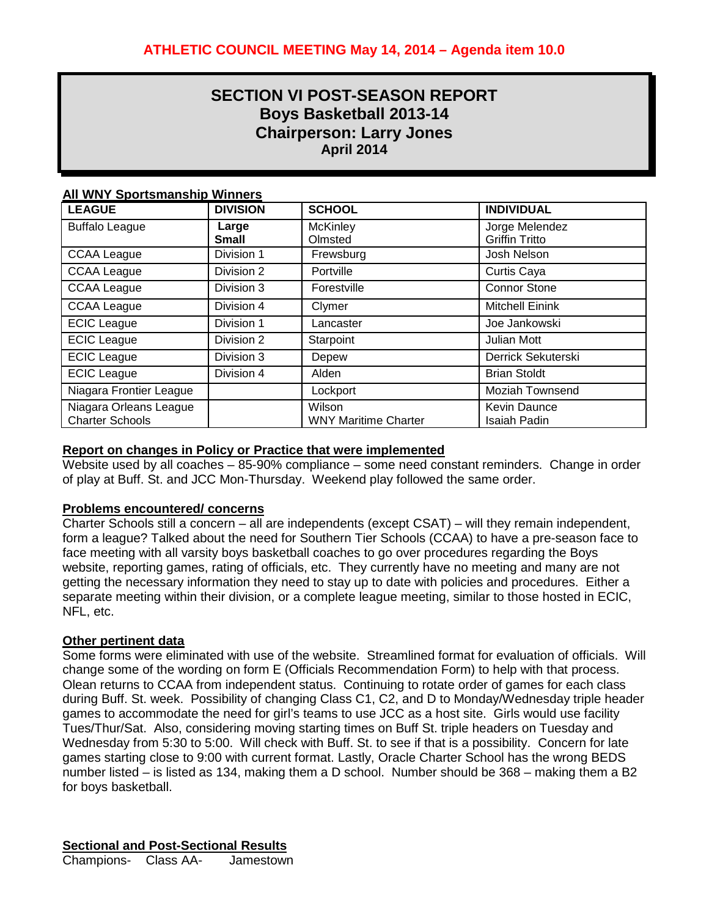# **SECTION VI POST-SEASON REPORT Boys Basketball 2013-14 Chairperson: Larry Jones April 2014**

### **All WNY Sportsmanship Winners**

| <b>LEAGUE</b>           | <b>DIVISION</b> | <b>SCHOOL</b>               | <b>INDIVIDUAL</b>      |
|-------------------------|-----------------|-----------------------------|------------------------|
| <b>Buffalo League</b>   | Large           | <b>McKinley</b>             | Jorge Melendez         |
|                         | <b>Small</b>    | Olmsted                     | <b>Griffin Tritto</b>  |
| <b>CCAA League</b>      | Division 1      | Frewsburg                   | Josh Nelson            |
| <b>CCAA League</b>      | Division 2      | Portville                   | Curtis Caya            |
| <b>CCAA League</b>      | Division 3      | Forestville                 | <b>Connor Stone</b>    |
| <b>CCAA League</b>      | Division 4      | Clymer                      | <b>Mitchell Einink</b> |
| <b>ECIC League</b>      | Division 1      | Lancaster                   | Joe Jankowski          |
| <b>ECIC</b> League      | Division 2      | Starpoint                   | <b>Julian Mott</b>     |
| <b>ECIC</b> League      | Division 3      | Depew                       | Derrick Sekuterski     |
| <b>ECIC League</b>      | Division 4      | Alden                       | <b>Brian Stoldt</b>    |
| Niagara Frontier League |                 | Lockport                    | <b>Moziah Townsend</b> |
| Niagara Orleans League  |                 | Wilson                      | <b>Kevin Daunce</b>    |
| <b>Charter Schools</b>  |                 | <b>WNY Maritime Charter</b> | <b>Isaiah Padin</b>    |

### **Report on changes in Policy or Practice that were implemented**

Website used by all coaches – 85-90% compliance – some need constant reminders. Change in order of play at Buff. St. and JCC Mon-Thursday. Weekend play followed the same order.

### **Problems encountered/ concerns**

Charter Schools still a concern – all are independents (except CSAT) – will they remain independent, form a league? Talked about the need for Southern Tier Schools (CCAA) to have a pre-season face to face meeting with all varsity boys basketball coaches to go over procedures regarding the Boys website, reporting games, rating of officials, etc. They currently have no meeting and many are not getting the necessary information they need to stay up to date with policies and procedures. Either a separate meeting within their division, or a complete league meeting, similar to those hosted in ECIC, NFL, etc.

### **Other pertinent data**

Some forms were eliminated with use of the website. Streamlined format for evaluation of officials. Will change some of the wording on form E (Officials Recommendation Form) to help with that process. Olean returns to CCAA from independent status. Continuing to rotate order of games for each class during Buff. St. week. Possibility of changing Class C1, C2, and D to Monday/Wednesday triple header games to accommodate the need for girl's teams to use JCC as a host site. Girls would use facility Tues/Thur/Sat. Also, considering moving starting times on Buff St. triple headers on Tuesday and Wednesday from 5:30 to 5:00. Will check with Buff. St. to see if that is a possibility. Concern for late games starting close to 9:00 with current format. Lastly, Oracle Charter School has the wrong BEDS number listed – is listed as 134, making them a D school. Number should be 368 – making them a B2 for boys basketball.

**Sectional and Post-Sectional Results**

Champions- Class AA- Jamestown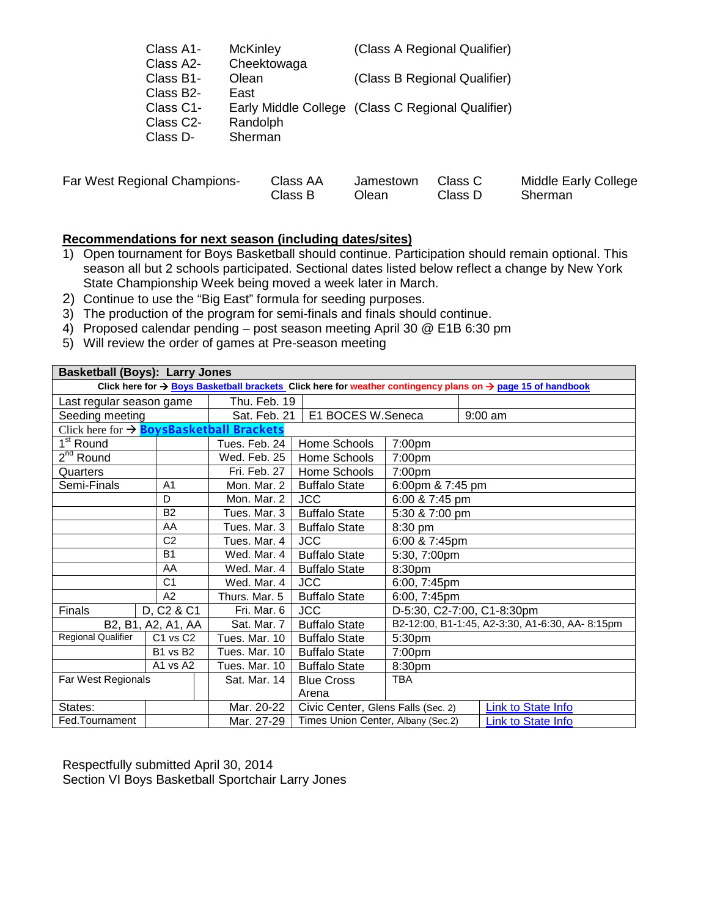| Class A1- | <b>McKinley</b> | (Class A Regional Qualifier)                      |
|-----------|-----------------|---------------------------------------------------|
| Class A2- | Cheektowaga     |                                                   |
| Class B1- | Olean           | (Class B Regional Qualifier)                      |
| Class B2- | East            |                                                   |
| Class C1- |                 | Early Middle College (Class C Regional Qualifier) |
| Class C2- | Randolph        |                                                   |
| Class D-  | Sherman         |                                                   |
|           |                 |                                                   |

| Far West Regional Champions-<br>Class AA<br>Class B | Jamestown Class C<br>วlean i | Class D | Middle Early College<br>Sherman |
|-----------------------------------------------------|------------------------------|---------|---------------------------------|
|-----------------------------------------------------|------------------------------|---------|---------------------------------|

### **Recommendations for next season (including dates/sites)**

- 1) Open tournament for Boys Basketball should continue. Participation should remain optional. This season all but 2 schools participated. Sectional dates listed below reflect a change by New York State Championship Week being moved a week later in March.
- 2) Continue to use the "Big East" formula for seeding purposes.
- 3) The production of the program for semi-finals and finals should continue.
- 4) Proposed calendar pending post season meeting April 30 @ E1B 6:30 pm
- 5) Will review the order of games at Pre-season meeting

| <b>Basketball (Boys): Larry Jones</b>                                                                                                |                                    |               |                                    |                    |                                                |
|--------------------------------------------------------------------------------------------------------------------------------------|------------------------------------|---------------|------------------------------------|--------------------|------------------------------------------------|
| Click here for $\rightarrow$ Boys Basketball brackets. Click here for weather contingency plans on $\rightarrow$ page 15 of handbook |                                    |               |                                    |                    |                                                |
| Thu. Feb. 19<br>Last regular season game                                                                                             |                                    |               |                                    |                    |                                                |
| Seeding meeting                                                                                                                      |                                    | Sat. Feb. 21  | E1 BOCES W.Seneca                  |                    | $9:00$ am                                      |
| Click here for $\rightarrow$ <b>BoysBasketball Brackets</b>                                                                          |                                    |               |                                    |                    |                                                |
| $1st$ Round                                                                                                                          |                                    | Tues. Feb. 24 | Home Schools                       | 7:00pm             |                                                |
| $2nd$ Round                                                                                                                          |                                    | Wed. Feb. 25  | Home Schools                       | 7:00pm             |                                                |
| Quarters                                                                                                                             |                                    | Fri. Feb. 27  | Home Schools                       | 7:00pm             |                                                |
| Semi-Finals                                                                                                                          | A <sub>1</sub>                     | Mon. Mar. 2   | <b>Buffalo State</b>               | 6:00pm & 7:45 pm   |                                                |
|                                                                                                                                      | D                                  | Mon. Mar. 2   | <b>JCC</b>                         | 6:00 & 7:45 pm     |                                                |
|                                                                                                                                      | <b>B2</b>                          | Tues. Mar. 3  | <b>Buffalo State</b>               | 5:30 & 7:00 pm     |                                                |
| AA                                                                                                                                   |                                    | Tues. Mar. 3  | <b>Buffalo State</b>               | 8:30 pm            |                                                |
| $\overline{C2}$                                                                                                                      |                                    | Tues. Mar. 4  | <b>JCC</b>                         | 6:00 & 7:45pm      |                                                |
| B <sub>1</sub>                                                                                                                       |                                    | Wed. Mar. 4   | <b>Buffalo State</b>               | 5:30, 7:00pm       |                                                |
| AA                                                                                                                                   |                                    | Wed. Mar. 4   | <b>Buffalo State</b>               | 8:30pm             |                                                |
|                                                                                                                                      | C <sub>1</sub>                     | Wed. Mar. 4   | <b>JCC</b>                         | 6:00, 7:45pm       |                                                |
|                                                                                                                                      | A2                                 | Thurs. Mar. 5 | <b>Buffalo State</b>               | 6:00, 7:45pm       |                                                |
| Finals                                                                                                                               | D, C <sub>2</sub> & C <sub>1</sub> | Fri. Mar. 6   | <b>JCC</b>                         |                    | D-5:30, C2-7:00, C1-8:30pm                     |
|                                                                                                                                      | B2, B1, A2, A1, AA                 | Sat. Mar. 7   | <b>Buffalo State</b>               |                    | B2-12:00, B1-1:45, A2-3:30, A1-6:30, AA-8:15pm |
| <b>Regional Qualifier</b>                                                                                                            | C <sub>1</sub> vs C <sub>2</sub>   | Tues, Mar, 10 | <b>Buffalo State</b>               | 5:30pm             |                                                |
|                                                                                                                                      | B1 vs B2                           | Tues. Mar. 10 | <b>Buffalo State</b>               | 7:00 <sub>pm</sub> |                                                |
|                                                                                                                                      | A1 vs A2                           | Tues. Mar. 10 | <b>Buffalo State</b>               | 8:30pm             |                                                |
| Far West Regionals                                                                                                                   |                                    | Sat. Mar. 14  | <b>Blue Cross</b>                  | <b>TBA</b>         |                                                |
|                                                                                                                                      |                                    |               | Arena                              |                    |                                                |
| States:                                                                                                                              |                                    | Mar. 20-22    | Civic Center, Glens Falls (Sec. 2) |                    | <b>Link to State Info</b>                      |
| Fed.Tournament                                                                                                                       |                                    | Mar. 27-29    | Times Union Center, Albany (Sec.2) |                    | <b>Link to State Info</b>                      |

Respectfully submitted April 30, 2014 Section VI Boys Basketball Sportchair Larry Jones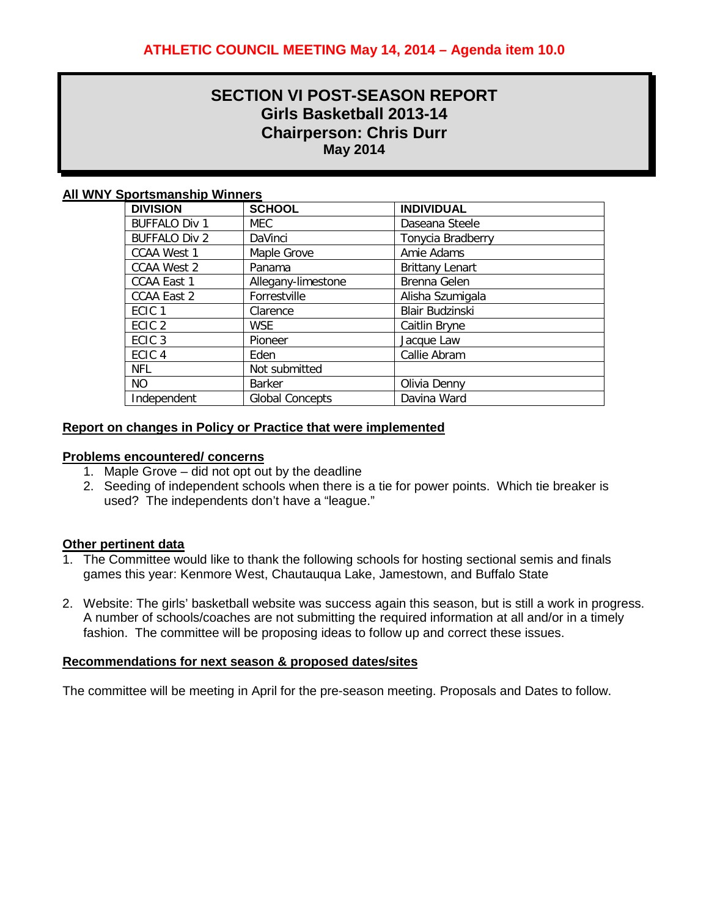# **SECTION VI POST-SEASON REPORT Girls Basketball 2013-14 Chairperson: Chris Durr May 2014**

### **All WNY Sportsmanship Winners**

| <b>DIVISION</b>      | <b>SCHOOL</b>          | <b>INDIVIDUAL</b>        |
|----------------------|------------------------|--------------------------|
| <b>BUFFALO Div 1</b> | <b>MEC</b>             | Daseana Steele           |
| <b>BUFFALO Div 2</b> | DaVinci                | <b>Tonycia Bradberry</b> |
| <b>CCAA West 1</b>   | Maple Grove            | Amie Adams               |
| <b>CCAA West 2</b>   | Panama                 | <b>Brittany Lenart</b>   |
| <b>CCAA East 1</b>   | Allegany-limestone     | Brenna Gelen             |
| <b>CCAA East 2</b>   | Forrestville           | Alisha Szumigala         |
| ECIC <sub>1</sub>    | Clarence               | Blair Budzinski          |
| ECIC <sub>2</sub>    | WSE.                   | Caitlin Bryne            |
| ECIC <sub>3</sub>    | Pioneer                | Jacque Law               |
| ECIC <sub>4</sub>    | Eden                   | Callie Abram             |
| <b>NFL</b>           | Not submitted          |                          |
| <b>NO</b>            | <b>Barker</b>          | Olivia Denny             |
| Independent          | <b>Global Concepts</b> | Davina Ward              |
|                      |                        |                          |

### **Report on changes in Policy or Practice that were implemented**

#### **Problems encountered/ concerns**

- 1. Maple Grove did not opt out by the deadline
- 2. Seeding of independent schools when there is a tie for power points. Which tie breaker is used? The independents don't have a "league."

### **Other pertinent data**

- 1. The Committee would like to thank the following schools for hosting sectional semis and finals games this year: Kenmore West, Chautauqua Lake, Jamestown, and Buffalo State
- 2. Website: The girls' basketball website was success again this season, but is still a work in progress. A number of schools/coaches are not submitting the required information at all and/or in a timely fashion. The committee will be proposing ideas to follow up and correct these issues.

### **Recommendations for next season & proposed dates/sites**

The committee will be meeting in April for the pre-season meeting. Proposals and Dates to follow.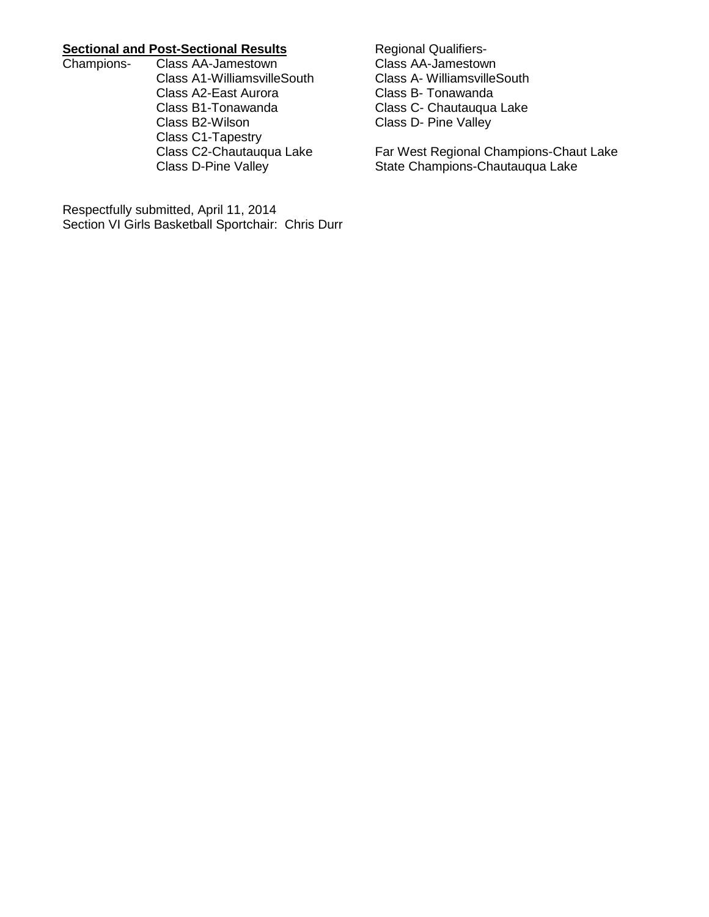# **Sectional and Post-Sectional Results**<br>Champions- Class AA-Jamestown

Class AA-Jamestown Class A1-WilliamsvilleSouth Class A2-East Aurora Class B1-Tonawanda Class B2-Wilson Class C1-Tapestry Class C2-Chautauqua Lake Class D-Pine Valley

Respectfully submitted, April 11, 2014 Section VI Girls Basketball Sportchair: Chris Durr

Regional Qualifiers-Class AA-Jamestown Class A- WilliamsvilleSouth Class B- Tonawanda Class C- Chautauqua Lake Class D- Pine Valley

Far West Regional Champions-Chaut Lake State Champions-Chautauqua Lake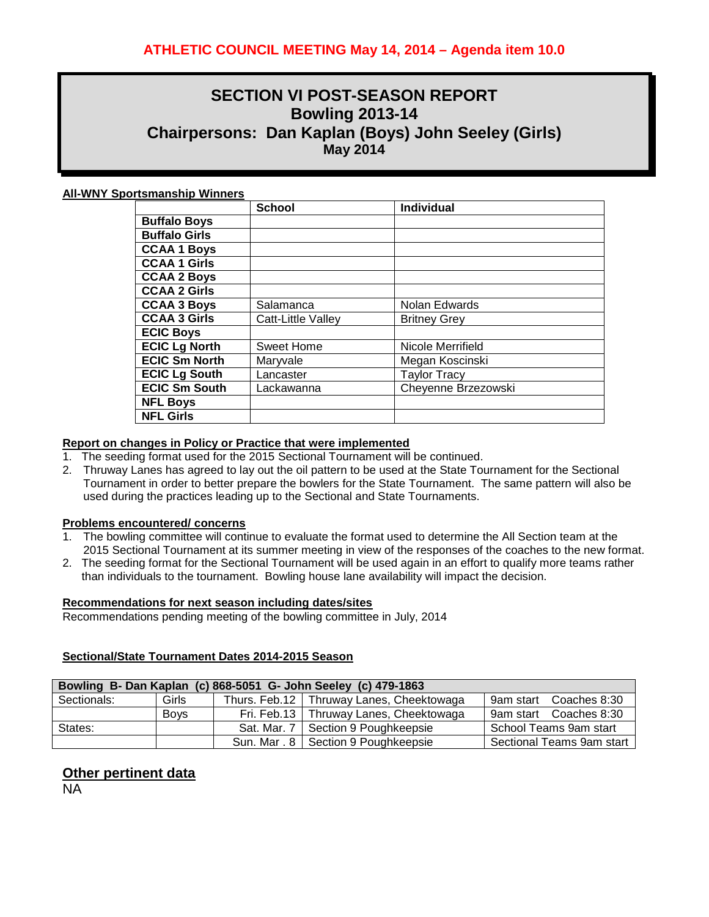# **SECTION VI POST-SEASON REPORT Bowling 2013-14 Chairpersons: Dan Kaplan (Boys) John Seeley (Girls) May 2014**

#### **All-WNY Sportsmanship Winners**

|                      | <b>School</b>      | Individual          |
|----------------------|--------------------|---------------------|
| <b>Buffalo Boys</b>  |                    |                     |
| <b>Buffalo Girls</b> |                    |                     |
| <b>CCAA 1 Boys</b>   |                    |                     |
| <b>CCAA 1 Girls</b>  |                    |                     |
| <b>CCAA 2 Boys</b>   |                    |                     |
| <b>CCAA 2 Girls</b>  |                    |                     |
| <b>CCAA 3 Boys</b>   | Salamanca          | Nolan Edwards       |
| <b>CCAA 3 Girls</b>  | Catt-Little Valley | <b>Britney Grey</b> |
| <b>ECIC Boys</b>     |                    |                     |
| <b>ECIC Lg North</b> | <b>Sweet Home</b>  | Nicole Merrifield   |
| <b>ECIC Sm North</b> | Maryvale           | Megan Koscinski     |
| <b>ECIC Lg South</b> | Lancaster          | <b>Taylor Tracy</b> |
| <b>ECIC Sm South</b> | Lackawanna         | Cheyenne Brzezowski |
| <b>NFL Boys</b>      |                    |                     |
| <b>NFL Girls</b>     |                    |                     |

#### **Report on changes in Policy or Practice that were implemented**

- 1. The seeding format used for the 2015 Sectional Tournament will be continued.
- 2. Thruway Lanes has agreed to lay out the oil pattern to be used at the State Tournament for the Sectional Tournament in order to better prepare the bowlers for the State Tournament. The same pattern will also be used during the practices leading up to the Sectional and State Tournaments.

#### **Problems encountered/ concerns**

- 1. The bowling committee will continue to evaluate the format used to determine the All Section team at the 2015 Sectional Tournament at its summer meeting in view of the responses of the coaches to the new format.
- 2. The seeding format for the Sectional Tournament will be used again in an effort to qualify more teams rather than individuals to the tournament. Bowling house lane availability will impact the decision.

#### **Recommendations for next season including dates/sites**

Recommendations pending meeting of the bowling committee in July, 2014

### **Sectional/State Tournament Dates 2014-2015 Season**

| Bowling B- Dan Kaplan (c) 868-5051 G- John Seeley (c) 479-1863 |             |                    |                                            |                           |  |
|----------------------------------------------------------------|-------------|--------------------|--------------------------------------------|---------------------------|--|
| Sectionals:                                                    | Girls       |                    | Thurs. Feb.12   Thruway Lanes, Cheektowaga | 9am start Coaches 8:30    |  |
|                                                                | <b>Boys</b> |                    | Fri. Feb.13   Thruway Lanes, Cheektowaga   | 9am start Coaches 8:30    |  |
| States:                                                        |             | Sat. Mar. $7 \mid$ | Section 9 Poughkeepsie                     | School Teams 9am start    |  |
|                                                                |             |                    | Sun. Mar . 8   Section 9 Poughkeepsie      | Sectional Teams 9am start |  |

### **Other pertinent data**

NA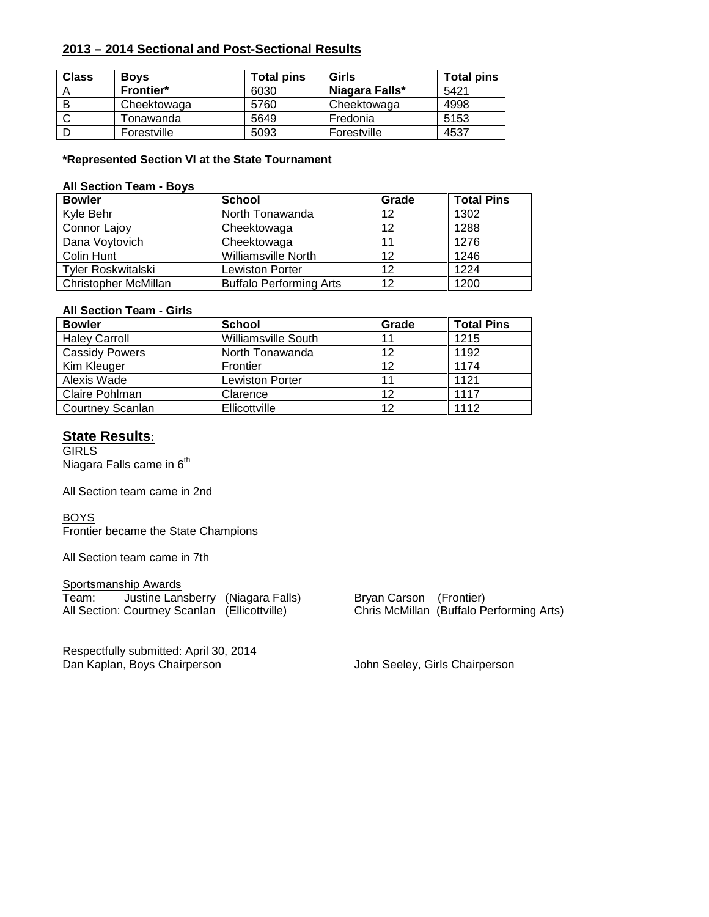### **2013 – 2014 Sectional and Post-Sectional Results**

| <b>Class</b> | <b>Boys</b>      | <b>Total pins</b> | Girls          | <b>Total pins</b> |
|--------------|------------------|-------------------|----------------|-------------------|
|              | <b>Frontier*</b> | 6030              | Niagara Falls* | 5421              |
| B            | Cheektowaga      | 5760              | Cheektowaga    | 4998              |
|              | Tonawanda        | 5649              | Fredonia       | 5153              |
|              | Forestville      | 5093              | Forestville    | 4537              |

#### **\*Represented Section VI at the State Tournament**

#### **All Section Team - Boys**

| <b>Bowler</b>               | <b>School</b>                  | Grade | <b>Total Pins</b> |
|-----------------------------|--------------------------------|-------|-------------------|
| Kyle Behr                   | North Tonawanda                | 12    | 1302              |
| Connor Lajoy                | Cheektowaga                    | 12    | 1288              |
| Dana Voytovich              | Cheektowaga                    | 11    | 1276              |
| Colin Hunt                  | <b>Williamsville North</b>     | 12    | 1246              |
| <b>Tyler Roskwitalski</b>   | <b>Lewiston Porter</b>         | 12    | 1224              |
| <b>Christopher McMillan</b> | <b>Buffalo Performing Arts</b> | 12    | 1200              |

#### **All Section Team - Girls**

| <b>Bowler</b>           | <b>School</b>              | Grade | <b>Total Pins</b> |
|-------------------------|----------------------------|-------|-------------------|
| <b>Haley Carroll</b>    | <b>Williamsville South</b> | 11    | 1215              |
| <b>Cassidy Powers</b>   | North Tonawanda            | 12    | 1192              |
| Kim Kleuger             | Frontier                   | 12    | 1174              |
| Alexis Wade             | <b>Lewiston Porter</b>     | 11    | 1121              |
| Claire Pohlman          | Clarence                   | 12    | 1117              |
| <b>Courtney Scanlan</b> | Ellicottville              | 12    | 1112              |

### **State Results:**

**GIRLS** Niagara Falls came in  $6^{th}$ 

All Section team came in 2nd

**BOYS** 

Frontier became the State Champions

All Section team came in 7th

# Sportsmanship Awards All Section: Courtney Scanlan (Ellicottville)

Respectfully submitted: April 30, 2014<br>Dan Kaplan, Boys Chairperson

Team: Justine Lansberry (Niagara Falls) Bryan Carson (Frontier)<br>All Section: Courtney Scanlan (Ellicottville) Chris McMillan (Buffalo Performing Arts)

John Seeley, Girls Chairperson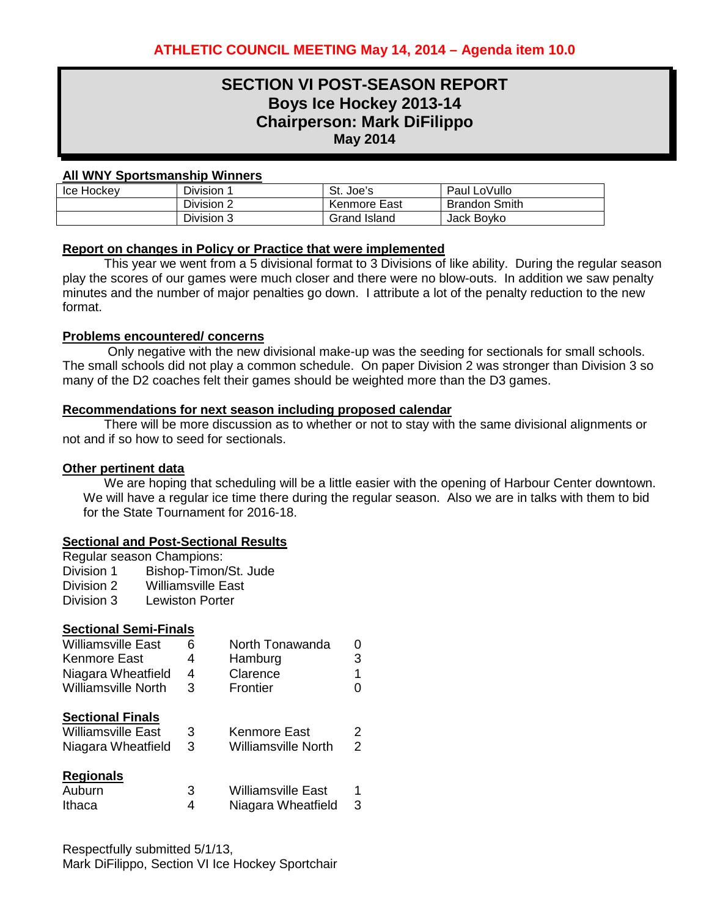# **SECTION VI POST-SEASON REPORT Boys Ice Hockey 2013-14 Chairperson: Mark DiFilippo May 2014**

### **All WNY Sportsmanship Winners**

| Ice Hockey | Division <sup>-</sup> | St. Joe's    | Paul LoVullo         |
|------------|-----------------------|--------------|----------------------|
|            | Division 2            | Kenmore East | <b>Brandon Smith</b> |
|            | Division 3            | Grand Island | Jack Boyko           |

### **Report on changes in Policy or Practice that were implemented**

This year we went from a 5 divisional format to 3 Divisions of like ability. During the regular season play the scores of our games were much closer and there were no blow-outs. In addition we saw penalty minutes and the number of major penalties go down. I attribute a lot of the penalty reduction to the new format.

### **Problems encountered/ concerns**

Only negative with the new divisional make-up was the seeding for sectionals for small schools. The small schools did not play a common schedule. On paper Division 2 was stronger than Division 3 so many of the D2 coaches felt their games should be weighted more than the D3 games.

### **Recommendations for next season including proposed calendar**

There will be more discussion as to whether or not to stay with the same divisional alignments or not and if so how to seed for sectionals.

### **Other pertinent data**

We are hoping that scheduling will be a little easier with the opening of Harbour Center downtown. We will have a regular ice time there during the regular season. Also we are in talks with them to bid for the State Tournament for 2016-18.

### **Sectional and Post-Sectional Results**

|            | Regular season Champions: |
|------------|---------------------------|
| Division 1 | Bishop-Timon/St. Jude     |
| Division 2 | <b>Williamsville East</b> |
| Division 3 | Lewiston Porter           |

| <b>Sectional Semi-Finals</b> |   |                 |   |
|------------------------------|---|-----------------|---|
| <b>Williamsville East</b>    | ĥ | North Tonawanda |   |
| Kenmore East                 | Δ | Hamburg         | 3 |
| Niagara Wheatfield           |   | Clarence        |   |

| <b>Williamsville North</b> | З | Frontier            |   |
|----------------------------|---|---------------------|---|
| <b>Sectional Finals</b>    |   |                     |   |
| <b>Williamsville East</b>  | 3 | Kenmore East        | 2 |
| Niagara Wheatfield         | 3 | Williamsville North | 2 |
| <b>Dogionale</b>           |   |                     |   |

| <b>INGYIVIIGIS</b> |                           |  |
|--------------------|---------------------------|--|
| Auburn             | <b>Williamsville East</b> |  |
| Ithaca             | Niagara Wheatfield        |  |

Respectfully submitted 5/1/13, Mark DiFilippo, Section VI Ice Hockey Sportchair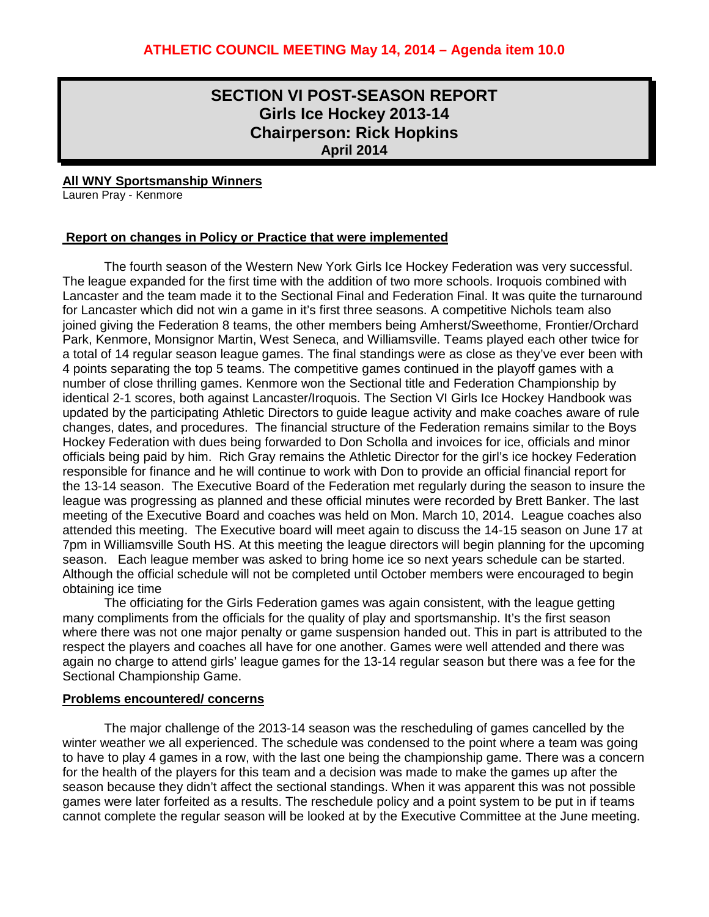# **SECTION VI POST-SEASON REPORT Girls Ice Hockey 2013-14 Chairperson: Rick Hopkins April 2014**

**All WNY Sportsmanship Winners**

Lauren Pray - Kenmore

### **Report on changes in Policy or Practice that were implemented**

The fourth season of the Western New York Girls Ice Hockey Federation was very successful. The league expanded for the first time with the addition of two more schools. Iroquois combined with Lancaster and the team made it to the Sectional Final and Federation Final. It was quite the turnaround for Lancaster which did not win a game in it's first three seasons. A competitive Nichols team also joined giving the Federation 8 teams, the other members being Amherst/Sweethome, Frontier/Orchard Park, Kenmore, Monsignor Martin, West Seneca, and Williamsville. Teams played each other twice for a total of 14 regular season league games. The final standings were as close as they've ever been with 4 points separating the top 5 teams. The competitive games continued in the playoff games with a number of close thrilling games. Kenmore won the Sectional title and Federation Championship by identical 2-1 scores, both against Lancaster/Iroquois. The Section VI Girls Ice Hockey Handbook was updated by the participating Athletic Directors to guide league activity and make coaches aware of rule changes, dates, and procedures. The financial structure of the Federation remains similar to the Boys Hockey Federation with dues being forwarded to Don Scholla and invoices for ice, officials and minor officials being paid by him. Rich Gray remains the Athletic Director for the girl's ice hockey Federation responsible for finance and he will continue to work with Don to provide an official financial report for the 13-14 season. The Executive Board of the Federation met regularly during the season to insure the league was progressing as planned and these official minutes were recorded by Brett Banker. The last meeting of the Executive Board and coaches was held on Mon. March 10, 2014. League coaches also attended this meeting. The Executive board will meet again to discuss the 14-15 season on June 17 at 7pm in Williamsville South HS. At this meeting the league directors will begin planning for the upcoming season. Each league member was asked to bring home ice so next years schedule can be started. Although the official schedule will not be completed until October members were encouraged to begin obtaining ice time

The officiating for the Girls Federation games was again consistent, with the league getting many compliments from the officials for the quality of play and sportsmanship. It's the first season where there was not one major penalty or game suspension handed out. This in part is attributed to the respect the players and coaches all have for one another. Games were well attended and there was again no charge to attend girls' league games for the 13-14 regular season but there was a fee for the Sectional Championship Game.

#### **Problems encountered/ concerns**

The major challenge of the 2013-14 season was the rescheduling of games cancelled by the winter weather we all experienced. The schedule was condensed to the point where a team was going to have to play 4 games in a row, with the last one being the championship game. There was a concern for the health of the players for this team and a decision was made to make the games up after the season because they didn't affect the sectional standings. When it was apparent this was not possible games were later forfeited as a results. The reschedule policy and a point system to be put in if teams cannot complete the regular season will be looked at by the Executive Committee at the June meeting.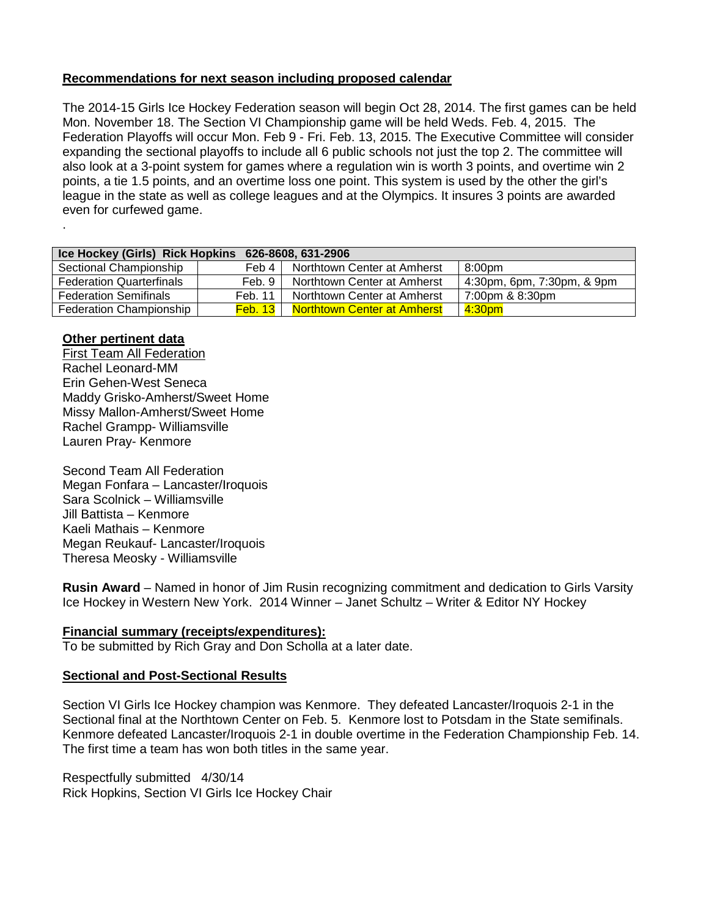### **Recommendations for next season including proposed calendar**

The 2014-15 Girls Ice Hockey Federation season will begin Oct 28, 2014. The first games can be held Mon. November 18. The Section VI Championship game will be held Weds. Feb. 4, 2015. The Federation Playoffs will occur Mon. Feb 9 - Fri. Feb. 13, 2015. The Executive Committee will consider expanding the sectional playoffs to include all 6 public schools not just the top 2. The committee will also look at a 3-point system for games where a regulation win is worth 3 points, and overtime win 2 points, a tie 1.5 points, and an overtime loss one point. This system is used by the other the girl's league in the state as well as college leagues and at the Olympics. It insures 3 points are awarded even for curfewed game.

| Ice Hockey (Girls) Rick Hopkins<br>626-8608.631-2906 |                     |                                    |                            |  |
|------------------------------------------------------|---------------------|------------------------------------|----------------------------|--|
| Sectional Championship                               | Feb 4               | Northtown Center at Amherst        | 8:00 <sub>pm</sub>         |  |
| <b>Federation Quarterfinals</b>                      | Feb. 9              | Northtown Center at Amherst        | 4:30pm, 6pm, 7:30pm, & 9pm |  |
| <b>Federation Semifinals</b>                         | Feb. 11             | Northtown Center at Amherst        | 7:00pm & 8:30pm            |  |
| Federation Championship                              | Feb. 13 $\parallel$ | <b>Northtown Center at Amherst</b> | 4:30 <sub>pm</sub>         |  |

### **Other pertinent data**

.

First Team All Federation Rachel Leonard-MM Erin Gehen-West Seneca Maddy Grisko-Amherst/Sweet Home Missy Mallon-Amherst/Sweet Home Rachel Grampp- Williamsville Lauren Pray- Kenmore

Second Team All Federation Megan Fonfara – Lancaster/Iroquois Sara Scolnick – Williamsville Jill Battista – Kenmore Kaeli Mathais – Kenmore Megan Reukauf- Lancaster/Iroquois Theresa Meosky - Williamsville

**Rusin Award** – Named in honor of Jim Rusin recognizing commitment and dedication to Girls Varsity Ice Hockey in Western New York. 2014 Winner – Janet Schultz – Writer & Editor NY Hockey

### **Financial summary (receipts/expenditures):**

To be submitted by Rich Gray and Don Scholla at a later date.

### **Sectional and Post-Sectional Results**

Section VI Girls Ice Hockey champion was Kenmore. They defeated Lancaster/Iroquois 2-1 in the Sectional final at the Northtown Center on Feb. 5. Kenmore lost to Potsdam in the State semifinals. Kenmore defeated Lancaster/Iroquois 2-1 in double overtime in the Federation Championship Feb. 14. The first time a team has won both titles in the same year.

Respectfully submitted 4/30/14 Rick Hopkins, Section VI Girls Ice Hockey Chair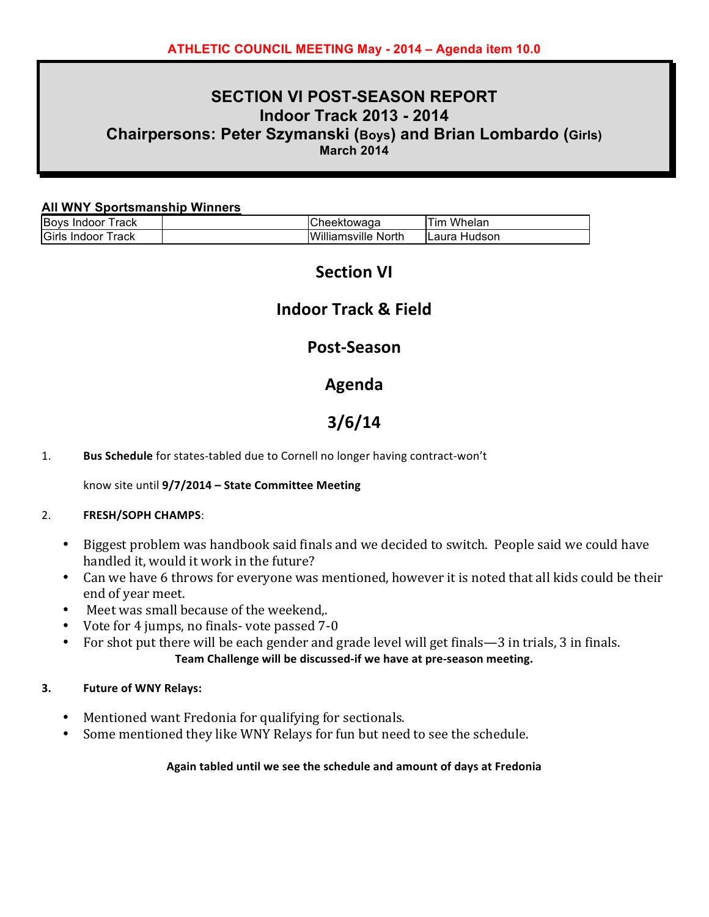# **SECTION VI POST-SEASON REPORT Indoor Track 2013 - 2014 Chairpersons: Peter Szymanski (Boys) and Brian Lombardo (Girls) March 2014**

### **All WNY Sportsmanship Winners**

| <b>Boys</b><br>rack<br>Indoor | :heektowaɑa   | Whelan<br>™⊺                     |
|-------------------------------|---------------|----------------------------------|
| Girls<br>Indoor<br>⊺rack      | Williamsville | North<br>Hudson<br><b>ILaura</b> |

# **Section VI**

# **Indoor Track & Field**

### **Post-Season**

# **Agenda**

# **3/6/14**

1. **Bus Schedule** for states-tabled due to Cornell no longer having contract-won't

### know site until 9/7/2014 - State Committee Meeting

### 2. **FRESH/SOPH CHAMPS:**

- Biggest problem was handbook said finals and we decided to switch. People said we could have handled it, would it work in the future?
- Can we have 6 throws for everyone was mentioned, however it is noted that all kids could be their end of year meet.
- Meet was small because of the weekend,.
- Vote for 4 jumps, no finals- vote passed  $7-0$
- For shot put there will be each gender and grade level will get finals—3 in trials, 3 in finals. Team Challenge will be discussed-if we have at pre-season meeting.

### **3. Future of WNY Relays:**

- Mentioned want Fredonia for qualifying for sectionals.
- Some mentioned they like WNY Relays for fun but need to see the schedule.

### Again tabled until we see the schedule and amount of days at Fredonia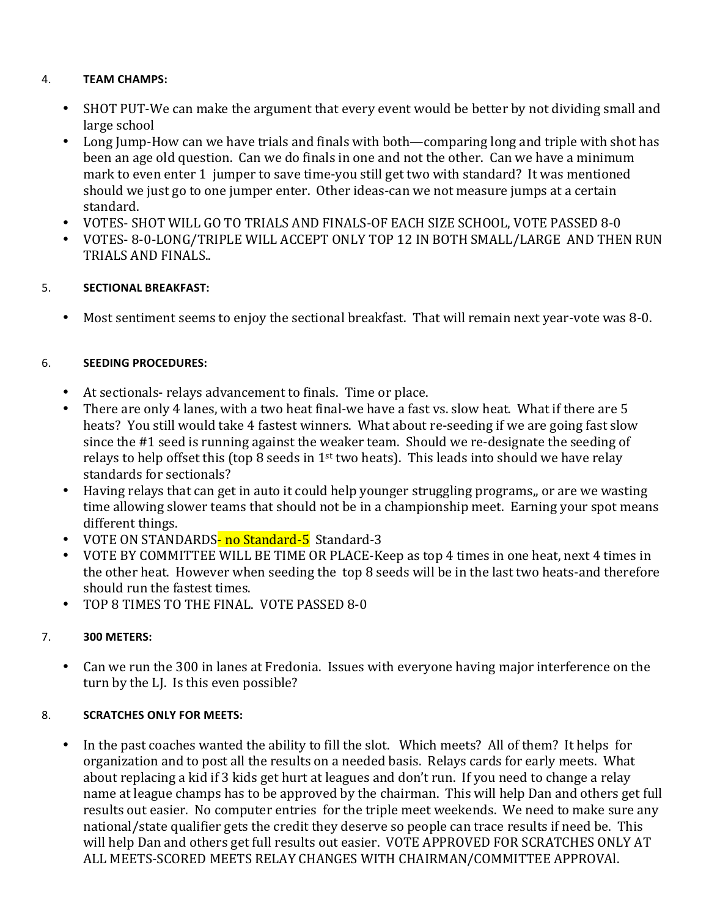### 4.## **TEAM(CHAMPS:**

- SHOT PUT-We can make the argument that every event would be better by not dividing small and large school
- Long Jump-How can we have trials and finals with both—comparing long and triple with shot has been an age old question. Can we do finals in one and not the other. Can we have a minimum mark to even enter 1 jumper to save time-you still get two with standard? It was mentioned should we just go to one jumper enter. Other ideas-can we not measure jumps at a certain standard.
- VOTES- SHOT WILL GO TO TRIALS AND FINALS-OF EACH SIZE SCHOOL, VOTE PASSED 8-0
- VOTES-8-0-LONG/TRIPLE WILL ACCEPT ONLY TOP 12 IN BOTH SMALL/LARGE AND THEN RUN TRIALS AND FINALS..

### 5.## **SECTIONAL(BREAKFAST:**

• Most sentiment seems to enjoy the sectional breakfast. That will remain next year-vote was 8-0.

### 6.## **SEEDING(PROCEDURES:**

- At sectionals-relays advancement to finals. Time or place.
- There are only 4 lanes, with a two heat final-we have a fast vs. slow heat. What if there are 5 heats? You still would take 4 fastest winners. What about re-seeding if we are going fast slow since the #1 seed is running against the weaker team. Should we re-designate the seeding of relays to help offset this (top 8 seeds in 1<sup>st</sup> two heats). This leads into should we have relay standards for sectionals?
- Having relays that can get in auto it could help younger struggling programs,, or are we wasting time allowing slower teams that should not be in a championship meet. Earning your spot means different things.
- VOTE ON STANDARDS- no Standard-5 Standard-3
- VOTE BY COMMITTEE WILL BE TIME OR PLACE-Keep as top 4 times in one heat, next 4 times in the other heat. However when seeding the top 8 seeds will be in the last two heats-and therefore should run the fastest times.
- TOP 8 TIMES TO THE FINAL. VOTE PASSED 8-0

### 7.## **300(METERS:**

• Can we run the 300 in lanes at Fredonia. Issues with everyone having major interference on the turn by the LJ. Is this even possible?

### 8. **SCRATCHES ONLY FOR MEETS:**

• In the past coaches wanted the ability to fill the slot. Which meets? All of them? It helps for organization and to post all the results on a needed basis. Relays cards for early meets. What about replacing a kid if 3 kids get hurt at leagues and don't run. If you need to change a relay name at league champs has to be approved by the chairman. This will help Dan and others get full results out easier. No computer entries' for the triple meet weekends. We need to make sure any national/state qualifier gets the credit they deserve so people can trace results if need be. This will help Dan and others get full results out easier. VOTE APPROVED FOR SCRATCHES ONLY AT ALL MEETS-SCORED MEETS RELAY CHANGES WITH CHAIRMAN/COMMITTEE APPROVAl.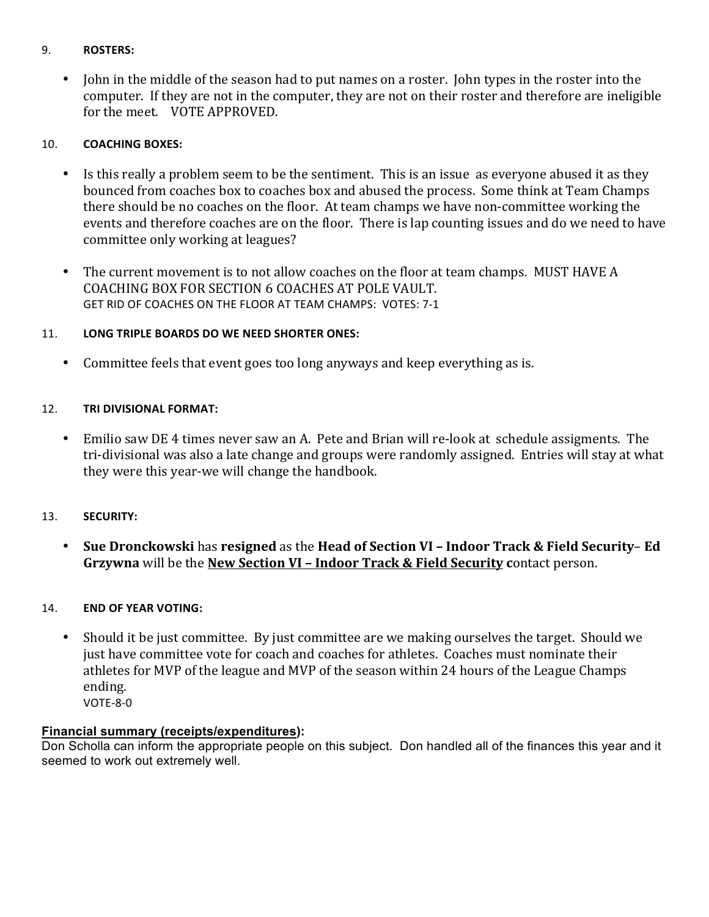### 9.## **ROSTERS:**

• John in the middle of the season had to put names on a roster. John types in the roster into the computer. If they are not in the computer, they are not on their roster and therefore are ineligible for the meet. VOTE APPROVED.

### 10. **COACHING BOXES:**

- Is this really a problem seem to be the sentiment. This is an issue as everyone abused it as they bounced from coaches box to coaches box and abused the process. Some think at Team Champs there should be no coaches on the floor. At team champs we have non-committee working the events and therefore coaches are on the floor. There is lap counting issues and do we need to have committee only working at leagues?
- The current movement is to not allow coaches on the floor at team champs. MUST HAVE A COACHING BOX FOR SECTION 6 COACHES AT POLE VAULT. GET RID OF COACHES ON THE FLOOR AT TEAM CHAMPS: VOTES: 7-1

### 11. **LONG TRIPLE BOARDS DO WE NEED SHORTER ONES:**

• Committee feels that event goes too long anyways and keep everything as is.

### 12. TRI DIVISIONAL FORMAT:

• Emilio saw DE 4 times never saw an A. Pete and Brian will re-look at schedule assigments. The tri-divisional was also a late change and groups were randomly assigned. Entries will stay at what they were this year-we will change the handbook.

### 13.## **SECURITY:**

• Sue Dronckowski has resigned as the Head of Section VI – Indoor Track & Field Security– Ed Grzywna will be the **New Section VI - Indoor Track & Field Security contact person.** 

### 14. **END OF YEAR VOTING:**

• Should it be just committee. By just committee are we making ourselves the target. Should we just have committee vote for coach and coaches for athletes. Coaches must nominate their athletes for MVP of the league and MVP of the season within 24 hours of the League Champs' ending.

 $VOTE-8-0$ 

### **Financial summary (receipts/expenditures):**

Don Scholla can inform the appropriate people on this subject. Don handled all of the finances this year and it seemed to work out extremely well.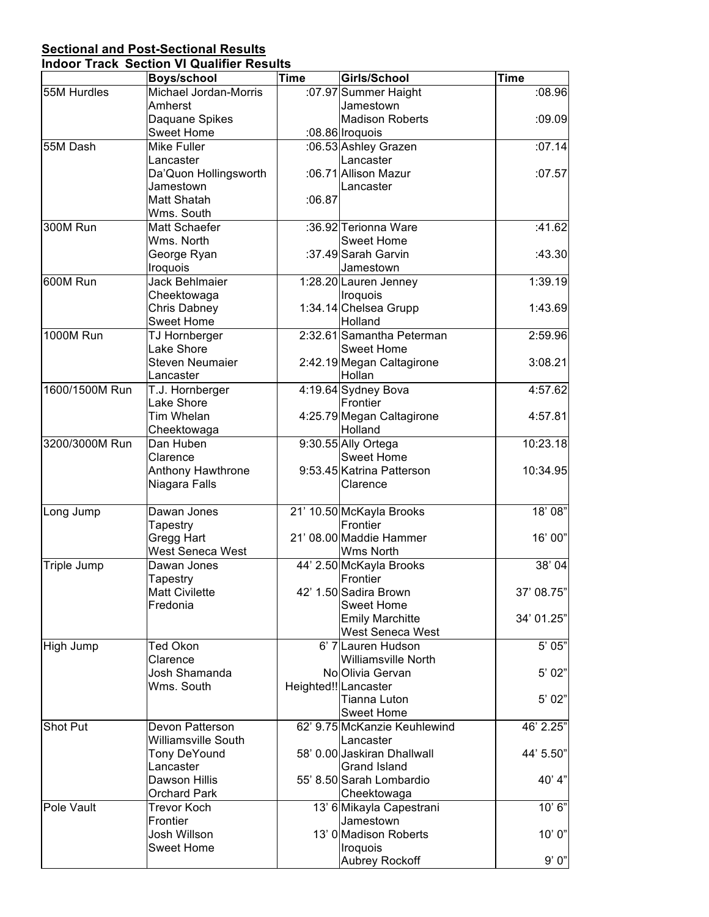# **Sectional and Post-Sectional Results**

| <b>Indoor Track Section VI Qualifier Results</b> |  |  |
|--------------------------------------------------|--|--|
|                                                  |  |  |

|                  | <b>Boys/school</b>         | <b>Time</b> | Girls/School                 | <b>Time</b> |
|------------------|----------------------------|-------------|------------------------------|-------------|
| 55M Hurdles      | Michael Jordan-Morris      |             | :07.97 Summer Haight         | :08.96      |
|                  | Amherst                    |             | Jamestown                    |             |
|                  | Daquane Spikes             |             | <b>Madison Roberts</b>       | :09.09      |
|                  | <b>Sweet Home</b>          |             | :08.86 Iroquois              |             |
| 55M Dash         | <b>Mike Fuller</b>         |             | :06.53 Ashley Grazen         | :07.14      |
|                  | Lancaster                  |             | Lancaster                    |             |
|                  | Da'Quon Hollingsworth      |             | :06.71 Allison Mazur         | :07.57      |
|                  | Jamestown                  |             | Lancaster                    |             |
|                  | Matt Shatah                | :06.87      |                              |             |
|                  | Wms. South                 |             |                              |             |
| 300M Run         | Matt Schaefer              |             | :36.92 Terionna Ware         | :41.62      |
|                  | Wms. North                 |             | <b>Sweet Home</b>            |             |
|                  | George Ryan                |             | :37.49 Sarah Garvin          | :43.30      |
|                  | Iroquois                   |             | Jamestown                    |             |
| 600M Run         | Jack Behlmaier             |             | 1:28.20 Lauren Jenney        | 1:39.19     |
|                  | Cheektowaga                |             | Iroquois                     |             |
|                  | Chris Dabney               |             | 1:34.14 Chelsea Grupp        | 1:43.69     |
|                  | <b>Sweet Home</b>          |             | Holland                      |             |
| <b>1000M Run</b> | TJ Hornberger              |             | 2:32.61 Samantha Peterman    | 2:59.96     |
|                  | Lake Shore                 |             | <b>Sweet Home</b>            |             |
|                  | <b>Steven Neumaier</b>     |             | 2:42.19 Megan Caltagirone    | 3:08.21     |
|                  | Lancaster                  |             | Hollan                       |             |
| 1600/1500M Run   | T.J. Hornberger            |             | 4:19.64 Sydney Bova          | 4:57.62     |
|                  | Lake Shore                 |             | Frontier                     |             |
|                  | Tim Whelan                 |             | 4:25.79 Megan Caltagirone    | 4:57.81     |
|                  | Cheektowaga                |             | Holland                      |             |
| 3200/3000M Run   | Dan Huben                  |             | 9:30.55 Ally Ortega          | 10:23.18    |
|                  | Clarence                   |             | Sweet Home                   |             |
|                  | Anthony Hawthrone          |             | 9:53.45 Katrina Patterson    | 10:34.95    |
|                  | Niagara Falls              |             | Clarence                     |             |
| Long Jump        | Dawan Jones                |             | 21' 10.50 McKayla Brooks     | 18'08"      |
|                  | Tapestry                   |             | Frontier                     |             |
|                  | Gregg Hart                 |             | 21' 08.00 Maddie Hammer      | 16' 00"     |
|                  | <b>West Seneca West</b>    |             | Wms North                    |             |
| Triple Jump      | Dawan Jones                |             | 44' 2.50 McKayla Brooks      | 38'04       |
|                  | Tapestry                   |             | Frontier                     |             |
|                  | <b>Matt Civilette</b>      |             | 42' 1.50 Sadira Brown        | 37' 08.75   |
|                  | Fredonia                   |             | <b>Sweet Home</b>            |             |
|                  |                            |             | <b>Emily Marchitte</b>       | 34' 01.25"  |
|                  |                            |             | West Seneca West             |             |
| High Jump        | Ted Okon                   |             | 6' 7 Lauren Hudson           | 5' 05"      |
|                  | Clarence                   |             | <b>Williamsville North</b>   |             |
|                  | Josh Shamanda              |             | No Olivia Gervan             | 5' 02"      |
|                  | Wms. South                 |             | Heighted!! Lancaster         |             |
|                  |                            |             | Tianna Luton                 | 5' 02"      |
|                  |                            |             | <b>Sweet Home</b>            |             |
| Shot Put         | Devon Patterson            |             | 62' 9.75 McKanzie Keuhlewind | 46' 2.25"   |
|                  | <b>Williamsville South</b> |             | Lancaster                    |             |
|                  | <b>Tony DeYound</b>        |             | 58' 0.00 Jaskiran Dhallwall  | 44' 5.50"   |
|                  | Lancaster                  |             | <b>Grand Island</b>          |             |
|                  | Dawson Hillis              |             | 55' 8.50 Sarah Lombardio     | 40' 4"      |
|                  | <b>Orchard Park</b>        |             | Cheektowaga                  |             |
| Pole Vault       | <b>Trevor Koch</b>         |             | 13' 6 Mikayla Capestrani     | 10'6''      |
|                  | Frontier                   |             | Jamestown                    |             |
|                  | Josh Willson               |             | 13' 0 Madison Roberts        | 10' 0"      |
|                  | <b>Sweet Home</b>          |             | Iroquois                     |             |
|                  |                            |             | Aubrey Rockoff               | 9'0"        |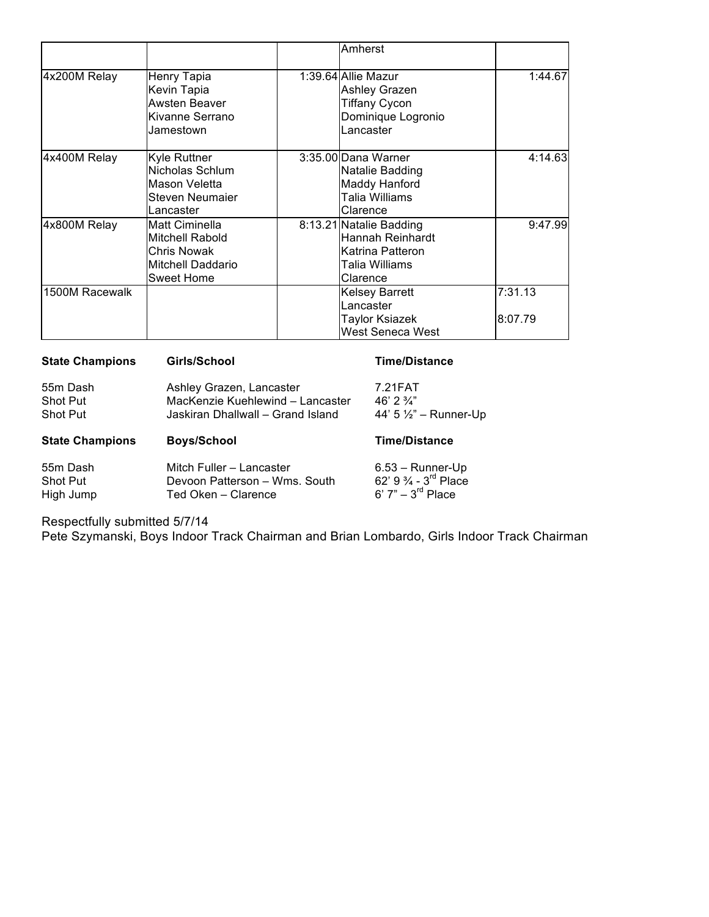|                |                                                                                                   | Amherst                                                                                         |                    |
|----------------|---------------------------------------------------------------------------------------------------|-------------------------------------------------------------------------------------------------|--------------------|
| 4x200M Relay   | Henry Tapia<br>Kevin Tapia<br>Awsten Beaver<br>Kivanne Serrano<br>Jamestown                       | 1:39.64 Allie Mazur<br><b>Ashley Grazen</b><br>Tiffany Cycon<br>Dominique Logronio<br>Lancaster | 1:44.67            |
| 4x400M Relay   | Kyle Ruttner<br>Nicholas Schlum<br>Mason Veletta<br>Steven Neumaier<br>Lancaster                  | 3:35.00 Dana Warner<br>Natalie Badding<br>Maddy Hanford<br>Talia Williams<br>Clarence           | 4:14.63            |
| 4x800M Relay   | Matt Ciminella<br>Mitchell Rabold<br><b>Chris Nowak</b><br>Mitchell Daddario<br><b>Sweet Home</b> | 8:13.21 Natalie Badding<br>Hannah Reinhardt<br>Katrina Patteron<br>Talia Williams<br>Clarence   | 9:47.99            |
| 1500M Racewalk |                                                                                                   | <b>Kelsey Barrett</b><br>Lancaster<br>Taylor Ksiazek<br>West Seneca West                        | 7:31.13<br>8:07.79 |

| <b>State Champions</b>                  | Girls/School                                                                                      | Time/Distance                                                        |
|-----------------------------------------|---------------------------------------------------------------------------------------------------|----------------------------------------------------------------------|
| 55m Dash<br><b>Shot Put</b><br>Shot Put | Ashley Grazen, Lancaster<br>MacKenzie Kuehlewind - Lancaster<br>Jaskiran Dhallwall - Grand Island | 7.21FAT<br>46' 2 $\frac{3}{4}$ "<br>44' $5\frac{1}{2}$ " – Runner-Up |
|                                         |                                                                                                   |                                                                      |
| <b>State Champions</b>                  | <b>Boys/School</b>                                                                                | <b>Time/Distance</b>                                                 |

Respectfully submitted 5/7/14

Pete Szymanski, Boys Indoor Track Chairman and Brian Lombardo, Girls Indoor Track Chairman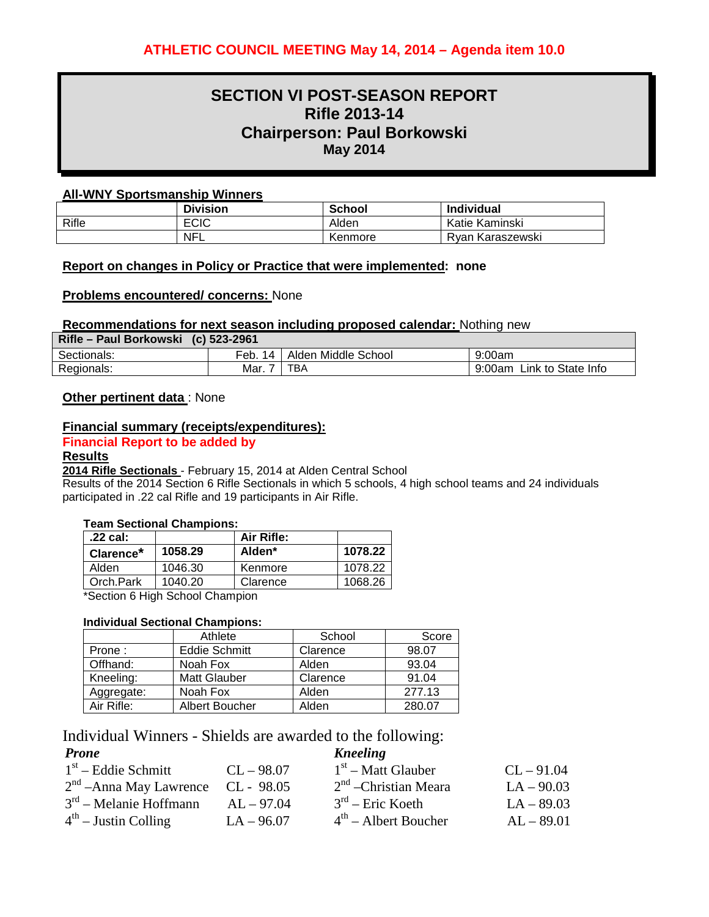# **SECTION VI POST-SEASON REPORT Rifle 2013-14 Chairperson: Paul Borkowski May 2014**

### **All-WNY Sportsmanship Winners**

|       | <b>Division</b> | <b>School</b> | <b>Individual</b> |
|-------|-----------------|---------------|-------------------|
| Rifle | <b>ECIC</b>     | Alden         | Katie Kaminski    |
|       | <b>NFL</b>      | Kenmore       | Rvan Karaszewski  |

#### **Report on changes in Policy or Practice that were implemented: none**

#### **Problems encountered/ concerns:** None

### **Recommendations for next season including proposed calendar:** Nothing new

| Rifle – Paul Borkowski (c) 523-2961 |           |                     |                           |
|-------------------------------------|-----------|---------------------|---------------------------|
| Sectionals:                         | Feb. 14 L | Alden Middle School | 9:00am                    |
| Regionals:                          | Mar. .    | TBA                 | 9:00am Link to State Info |

### **Other pertinent data** : None

### **Financial summary (receipts/expenditures):**

### **Financial Report to be added by**

#### **Results**

**2014 Rifle Sectionals** - February 15, 2014 at Alden Central School

Results of the 2014 Section 6 Rifle Sectionals in which 5 schools, 4 high school teams and 24 individuals participated in .22 cal Rifle and 19 participants in Air Rifle.

#### **Team Sectional Champions:**

| .22 cal:              |         | Air Rifle: |         |
|-----------------------|---------|------------|---------|
| Clarence <sup>*</sup> | 1058.29 | Alden*     | 1078.22 |
| Alden                 | 1046.30 | Kenmore    | 1078.22 |
| Orch.Park             | 1040.20 | Clarence   | 1068.26 |

\*Section 6 High School Champion

### **Individual Sectional Champions:**

|            | Athlete               | School   | Score  |
|------------|-----------------------|----------|--------|
| Prone:     | <b>Eddie Schmitt</b>  | Clarence | 98.07  |
| Offhand:   | Noah Fox              | Alden    | 93.04  |
| Kneeling:  | <b>Matt Glauber</b>   | Clarence | 91.04  |
| Aggregate: | Noah Fox              | Alden    | 277.13 |
| Air Rifle: | <b>Albert Boucher</b> | Alden    | 280.07 |

Individual Winners - Shields are awarded to the following:

| <b>Prone</b>                         |              | <b>Kneeling</b>         |              |
|--------------------------------------|--------------|-------------------------|--------------|
| $1st$ – Eddie Schmitt                | $CL - 98.07$ | $1st$ – Matt Glauber    | $CL - 91.04$ |
| $2nd$ – Anna May Lawrence CL - 98.05 |              | $2nd$ – Christian Meara | $LA - 90.03$ |
| $3rd$ – Melanie Hoffmann             | $AL - 97.04$ | $3rd$ – Eric Koeth      | $LA - 89.03$ |
| $4th$ – Justin Colling               | $LA - 96.07$ | $4th$ – Albert Boucher  | $AL - 89.01$ |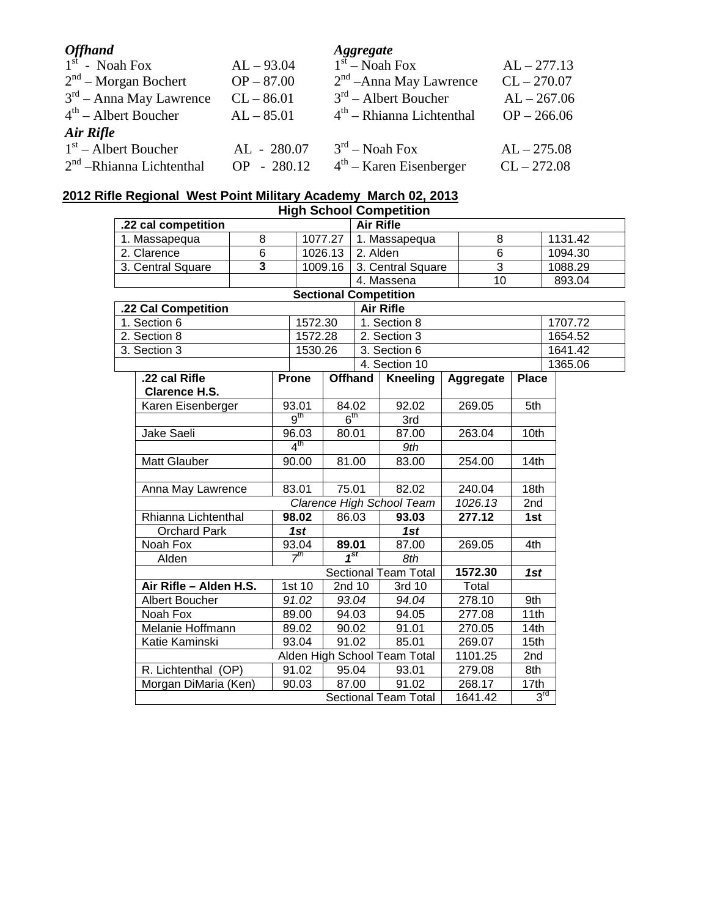| <b>Offhand</b>             |              | <b>Aggregate</b>            |               |
|----------------------------|--------------|-----------------------------|---------------|
| $1st$ - Noah Fox           | $AL - 93.04$ | $1st$ – Noah Fox            | $AL - 277.13$ |
| $2nd$ – Morgan Bochert     | $OP - 87.00$ | $2nd$ – Anna May Lawrence   | $CL - 270.07$ |
| $3rd$ – Anna May Lawrence  | $CL - 86.01$ | $3rd$ – Albert Boucher      | $AL - 267.06$ |
| $4th$ – Albert Boucher     | $AL - 85.01$ | $4th$ – Rhianna Lichtenthal | $OP - 266.06$ |
| Air Rifle                  |              |                             |               |
| $1st$ – Albert Boucher     | AL - 280.07  | $3rd$ – Noah Fox            | $AL - 275.08$ |
| $2nd$ -Rhianna Lichtenthal | OP - 280.12  | $4th$ – Karen Eisenberger   | $CL - 272.08$ |

### **2012 Rifle Regional West Point Military Academy March 02, 2013**

| <b>High School Competition</b> |                        |                         |                 |                  |                             |                  |                              |                |                 |                 |         |         |  |
|--------------------------------|------------------------|-------------------------|-----------------|------------------|-----------------------------|------------------|------------------------------|----------------|-----------------|-----------------|---------|---------|--|
| .22 cal competition            |                        |                         |                 | <b>Air Rifle</b> |                             |                  |                              |                |                 |                 |         |         |  |
|                                | 1. Massapequa          | 8                       |                 | 1077.27          |                             |                  | 1. Massapequa                |                | 8               |                 |         | 1131.42 |  |
|                                | 2. Clarence            | $\overline{6}$          |                 | 1026.13          |                             | 2. Alden         |                              | $\overline{6}$ |                 |                 | 1094.30 |         |  |
|                                | 3. Central Square      | $\overline{\mathbf{3}}$ |                 | 1009.16          |                             |                  | 3. Central Square            |                | $\overline{3}$  |                 |         | 1088.29 |  |
|                                |                        |                         |                 |                  |                             |                  | 4. Massena                   |                | $\overline{10}$ |                 |         | 893.04  |  |
|                                |                        |                         |                 |                  |                             |                  | <b>Sectional Competition</b> |                |                 |                 |         |         |  |
|                                | .22 Cal Competition    |                         |                 |                  |                             | <b>Air Rifle</b> |                              |                |                 |                 |         |         |  |
|                                | 1. Section 6           |                         |                 | 1572.30          |                             |                  | 1. Section 8                 |                |                 |                 |         | 1707.72 |  |
|                                | 2. Section 8           |                         |                 | 1572.28          |                             |                  | 2. Section 3                 |                |                 |                 |         | 1654.52 |  |
|                                | 3. Section 3           |                         |                 | 1530.26          |                             |                  | 3. Section 6                 |                |                 |                 |         | 1641.42 |  |
|                                |                        |                         |                 |                  |                             |                  | 4. Section 10                |                |                 |                 |         | 1365.06 |  |
|                                | .22 cal Rifle          |                         | Prone           |                  |                             | <b>Offhand</b>   | <b>Kneeling</b>              |                | Aggregate       | <b>Place</b>    |         |         |  |
|                                | <b>Clarence H.S.</b>   |                         |                 |                  |                             |                  |                              |                |                 |                 |         |         |  |
|                                | Karen Eisenberger      |                         | 93.01           |                  | 84.02                       |                  | 92.02                        |                | 269.05          | 5th             |         |         |  |
|                                |                        |                         | 9 <sup>th</sup> |                  | 6 <sup>th</sup>             |                  | 3rd                          |                |                 |                 |         |         |  |
|                                | Jake Saeli             |                         | 96.03           |                  | 80.01                       |                  | 87.00                        |                | 263.04          | 10th            |         |         |  |
|                                |                        |                         | $4^{\text{th}}$ |                  |                             |                  | 9th                          |                |                 |                 |         |         |  |
|                                | <b>Matt Glauber</b>    |                         | 90.00           |                  | 81.00                       |                  | 83.00                        |                | 254.00          | 14th            |         |         |  |
|                                |                        |                         |                 |                  |                             |                  |                              |                |                 |                 |         |         |  |
| 83.01<br>Anna May Lawrence     |                        |                         | 75.01           |                  | 82.02                       |                  | 240.04                       | 18th           |                 |                 |         |         |  |
|                                |                        |                         |                 |                  |                             |                  | Clarence High School Team    |                | 1026.13         | 2nd             |         |         |  |
|                                | Rhianna Lichtenthal    |                         | 98.02           |                  | 86.03                       |                  | 93.03                        |                | 277.12          | 1st             |         |         |  |
|                                | <b>Orchard Park</b>    |                         | 1st             |                  |                             |                  | 1st                          |                |                 |                 |         |         |  |
|                                | Noah Fox               |                         | 93.04           |                  | 89.01                       |                  | 87.00                        |                | 269.05          | 4th             |         |         |  |
|                                | Alden                  |                         | 7 <sup>th</sup> |                  | $1^{st}$                    |                  | 8th                          |                |                 |                 |         |         |  |
|                                |                        |                         |                 |                  | <b>Sectional Team Total</b> |                  | 1572.30                      | 1st            |                 |                 |         |         |  |
|                                | Air Rifle - Alden H.S. |                         | 1st 10          |                  | 2nd 10                      |                  | 3rd 10                       |                | Total           |                 |         |         |  |
|                                | Albert Boucher         |                         | 91.02           |                  | 93.04                       |                  | 94.04                        |                | 278.10          | 9th             |         |         |  |
|                                | Noah Fox               |                         | 89.00           |                  | 94.03                       |                  | 94.05                        |                | 277.08          | 11th            |         |         |  |
|                                | Melanie Hoffmann       |                         | 89.02           |                  | 90.02                       |                  | 91.01                        |                | 270.05          | 14th            |         |         |  |
| Katie Kaminski                 |                        | 93.04                   |                 | 91.02            |                             | 85.01            |                              | 269.07         | 15th            |                 |         |         |  |
|                                |                        |                         |                 |                  |                             |                  | Alden High School Team Total |                | 1101.25         | 2nd             |         |         |  |
|                                | R. Lichtenthal (OP)    |                         | 91.02           |                  | 95.04                       |                  | 93.01                        |                | 279.08          | 8th             |         |         |  |
|                                | Morgan DiMaria (Ken)   |                         | 90.03           |                  | 87.00                       |                  | 91.02                        |                | 268.17          | 17th            |         |         |  |
|                                |                        |                         |                 |                  |                             |                  | <b>Sectional Team Total</b>  |                | 1641.42         | $3^{\text{rd}}$ |         |         |  |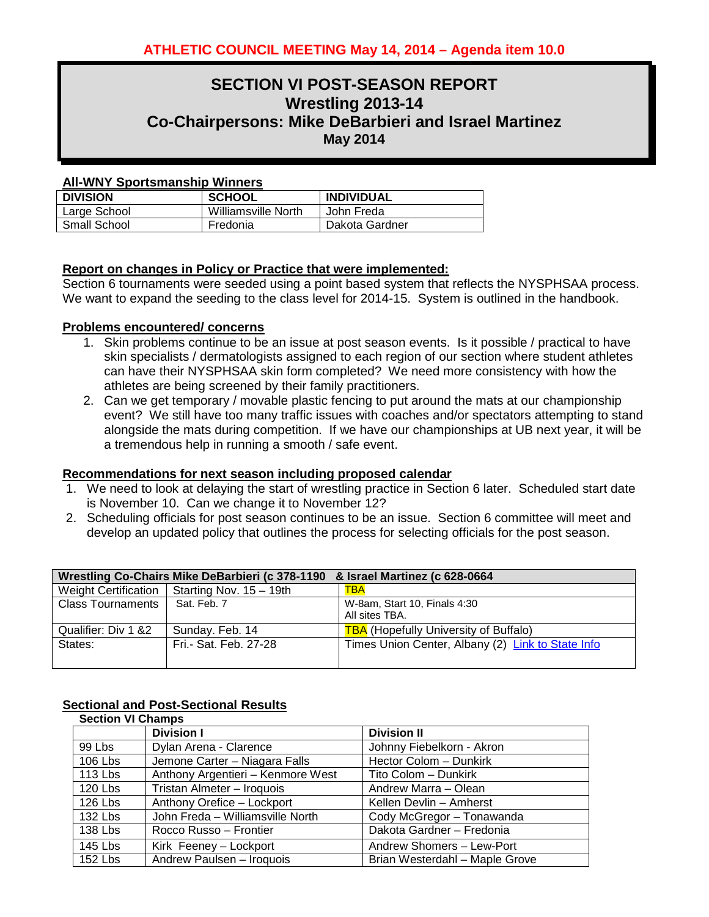### **SECTION VI POST-SEASON REPORT Wrestling 2013-14 Co-Chairpersons: Mike DeBarbieri and Israel Martinez May 2014**

### **All-WNY Sportsmanship Winners**

| <b>DIVISION</b>     | <b>SCHOOL</b>       | <b>INDIVIDUAL</b> |
|---------------------|---------------------|-------------------|
| Large School        | Williamsville North | John Freda        |
| <b>Small School</b> | Fredonia            | Dakota Gardner    |

### **Report on changes in Policy or Practice that were implemented:**

Section 6 tournaments were seeded using a point based system that reflects the NYSPHSAA process. We want to expand the seeding to the class level for 2014-15. System is outlined in the handbook.

### **Problems encountered/ concerns**

- 1. Skin problems continue to be an issue at post season events. Is it possible / practical to have skin specialists / dermatologists assigned to each region of our section where student athletes can have their NYSPHSAA skin form completed? We need more consistency with how the athletes are being screened by their family practitioners.
- 2. Can we get temporary / movable plastic fencing to put around the mats at our championship event? We still have too many traffic issues with coaches and/or spectators attempting to stand alongside the mats during competition. If we have our championships at UB next year, it will be a tremendous help in running a smooth / safe event.

### **Recommendations for next season including proposed calendar**

- 1. We need to look at delaying the start of wrestling practice in Section 6 later. Scheduled start date is November 10. Can we change it to November 12?
- 2. Scheduling officials for post season continues to be an issue. Section 6 committee will meet and develop an updated policy that outlines the process for selecting officials for the post season.

|                          | Wrestling Co-Chairs Mike DeBarbieri (c 378-1190 & Israel Martinez (c 628-0664 |                                                   |
|--------------------------|-------------------------------------------------------------------------------|---------------------------------------------------|
|                          | Weight Certification   Starting Nov. $15 - 19$ th                             | <b>TBA</b>                                        |
| <b>Class Tournaments</b> | Sat. Feb. 7                                                                   | W-8am, Start 10, Finals 4:30<br>All sites TBA.    |
| Qualifier: Div 1 &2      | Sunday. Feb. 14                                                               | <b>TBA</b> (Hopefully University of Buffalo)      |
| States:                  | Fri.- Sat. Feb. 27-28                                                         | Times Union Center, Albany (2) Link to State Info |

### **Sectional and Post-Sectional Results**

| <b>Section VI Champs</b> |                                   |                                |  |  |  |
|--------------------------|-----------------------------------|--------------------------------|--|--|--|
|                          | <b>Division I</b>                 | <b>Division II</b>             |  |  |  |
| 99 Lbs                   | Dylan Arena - Clarence            | Johnny Fiebelkorn - Akron      |  |  |  |
| 106 Lbs                  | Jemone Carter - Niagara Falls     | Hector Colom - Dunkirk         |  |  |  |
| 113 Lbs                  | Anthony Argentieri - Kenmore West | Tito Colom - Dunkirk           |  |  |  |
| 120 Lbs                  | Tristan Almeter - Iroquois        | Andrew Marra - Olean           |  |  |  |
| 126 Lbs                  | Anthony Orefice - Lockport        | Kellen Devlin - Amherst        |  |  |  |
| 132 Lbs                  | John Freda - Williamsville North  | Cody McGregor - Tonawanda      |  |  |  |
| 138 Lbs                  | Rocco Russo - Frontier            | Dakota Gardner - Fredonia      |  |  |  |
| 145 Lbs                  | Kirk Feeney - Lockport            | Andrew Shomers - Lew-Port      |  |  |  |
| 152 Lbs                  | Andrew Paulsen - Iroquois         | Brian Westerdahl - Maple Grove |  |  |  |